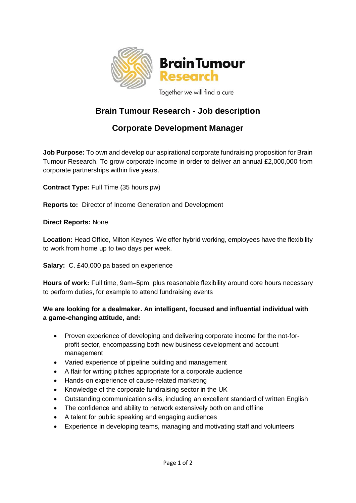

# **Brain Tumour Research - Job description**

# **Corporate Development Manager**

**Job Purpose:** To own and develop our aspirational corporate fundraising proposition for Brain Tumour Research. To grow corporate income in order to deliver an annual £2,000,000 from corporate partnerships within five years.

**Contract Type:** Full Time (35 hours pw)

**Reports to:** Director of Income Generation and Development

**Direct Reports:** None

**Location:** Head Office, Milton Keynes. We offer hybrid working, employees have the flexibility to work from home up to two days per week.

**Salary:** C. £40,000 pa based on experience

**Hours of work:** Full time, 9am–5pm, plus reasonable flexibility around core hours necessary to perform duties, for example to attend fundraising events

## **We are looking for a dealmaker. An intelligent, focused and influential individual with a game-changing attitude, and:**

- Proven experience of developing and delivering corporate income for the not-forprofit sector, encompassing both new business development and account management
- Varied experience of pipeline building and management
- A flair for writing pitches appropriate for a corporate audience
- Hands-on experience of cause-related marketing
- Knowledge of the corporate fundraising sector in the UK
- Outstanding communication skills, including an excellent standard of written English
- The confidence and ability to network extensively both on and offline
- A talent for public speaking and engaging audiences
- Experience in developing teams, managing and motivating staff and volunteers